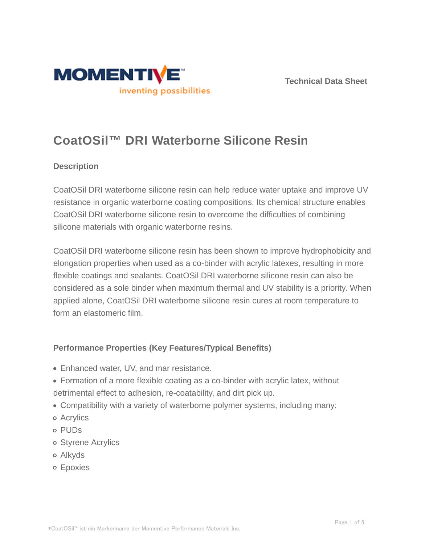



# **CoatOSil™ DRI Waterborne Silicone Resin**

# **Description**

CoatOSil DRI waterborne silicone resin can help reduce water uptake and improve UV resistance in organic waterborne coating compositions. Its chemical structure enables CoatOSil DRI waterborne silicone resin to overcome the difficulties of combining silicone materials with organic waterborne resins.

CoatOSil DRI waterborne silicone resin has been shown to improve hydrophobicity and elongation properties when used as a co-binder with acrylic latexes, resulting in more flexible coatings and sealants. CoatOSil DRI waterborne silicone resin can also be considered as a sole binder when maximum thermal and UV stability is a priority. When applied alone, CoatOSil DRI waterborne silicone resin cures at room temperature to form an elastomeric film.

# **Performance Properties (Key Features/Typical Benefits)**

- Enhanced water, UV, and mar resistance.
- Formation of a more flexible coating as a co-binder with acrylic latex, without detrimental effect to adhesion, re-coatability, and dirt pick up.
- Compatibility with a variety of waterborne polymer systems, including many:
- Acrylics
- o PUD<sub>S</sub>
- o Styrene Acrylics
- Alkyds
- Epoxies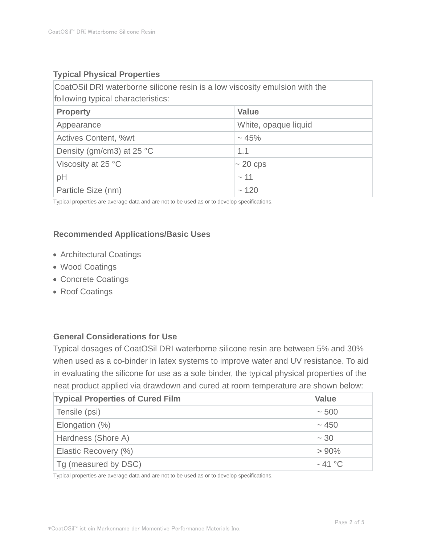# **Typical Physical Properties**

CoatOSil DRI waterborne silicone resin is a low viscosity emulsion with the following typical characteristics:

| 1011011111191191001101101001011001001 |                      |  |  |  |
|---------------------------------------|----------------------|--|--|--|
| <b>Property</b>                       | <b>Value</b>         |  |  |  |
| Appearance                            | White, opaque liquid |  |  |  |
| <b>Actives Content, %wt</b>           | $~15\%$              |  |  |  |
| Density (gm/cm3) at 25 $^{\circ}$ C   | 1.1                  |  |  |  |
| Viscosity at 25 °C                    | $\sim$ 20 cps        |  |  |  |
| pH                                    | ~11                  |  |  |  |
| Particle Size (nm)                    | ~120                 |  |  |  |

Typical properties are average data and are not to be used as or to develop specifications.

# **Recommended Applications/Basic Uses**

- Architectural Coatings
- Wood Coatings
- Concrete Coatings
- Roof Coatings

### **General Considerations for Use**

Typical dosages of CoatOSil DRI waterborne silicone resin are between 5% and 30% when used as a co-binder in latex systems to improve water and UV resistance. To aid in evaluating the silicone for use as a sole binder, the typical physical properties of the neat product applied via drawdown and cured at room temperature are shown below:

| <b>Typical Properties of Cured Film</b> | <b>Value</b> |
|-----------------------------------------|--------------|
| Tensile (psi)                           | $~1$ - 500   |
| Elongation (%)                          | ~1.450       |
| Hardness (Shore A)                      | $~1$ – 30    |
| Elastic Recovery (%)                    | $> 90\%$     |
| Tg (measured by DSC)                    | $-41 °C$     |

Typical properties are average data and are not to be used as or to develop specifications.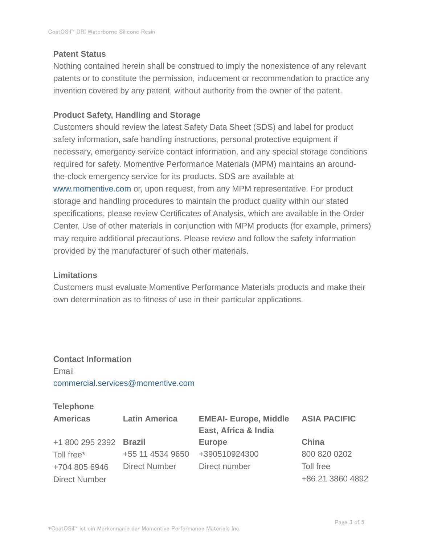#### **Patent Status**

Nothing contained herein shall be construed to imply the nonexistence of any relevant patents or to constitute the permission, inducement or recommendation to practice any invention covered by any patent, without authority from the owner of the patent.

# **Product Safety, Handling and Storage**

Customers should review the latest Safety Data Sheet (SDS) and label for product safety information, safe handling instructions, personal protective equipment if necessary, emergency service contact information, and any special storage conditions required for safety. Momentive Performance Materials (MPM) maintains an aroundthe-clock emergency service for its products. SDS are available at www.momentive.com or, upon request, from any MPM representative. For product storage and handling procedures to maintain the product quality within our stated specifications, please review Certificates of Analysis, which are available in the Order Center. Use of other materials in conjunction with MPM products (for example, primers) may require additional precautions. Please review and follow the safety information provided by the manufacturer of such other materials.

### **Limitations**

Customers must evaluate Momentive Performance Materials products and make their own determination as to fitness of use in their particular applications.

# **Contact Information** Email commercial.services@momentive.com

### **Telephone**

| <b>Americas</b>        | <b>Latin America</b> | <b>EMEAI- Europe, Middle</b><br>East, Africa & India | <b>ASIA PACIFIC</b> |
|------------------------|----------------------|------------------------------------------------------|---------------------|
| +1 800 295 2392 Brazil |                      | <b>Europe</b>                                        | China               |
| Toll free*             | +55 11 4534 9650     | +390510924300                                        | 800 820 0202        |
| +704 805 6946          | Direct Number        | Direct number                                        | Toll free           |
| <b>Direct Number</b>   |                      |                                                      | +86 21 3860 4892    |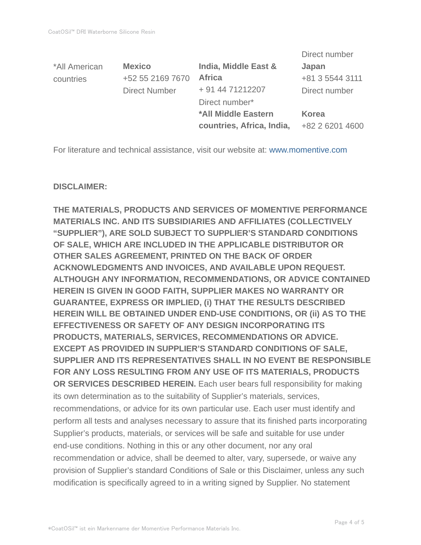|               |                      |                           | Direct number   |
|---------------|----------------------|---------------------------|-----------------|
| *All American | <b>Mexico</b>        | India, Middle East &      | Japan           |
| countries     | +52 55 2169 7670     | <b>Africa</b>             | +81 3 5544 3111 |
|               | <b>Direct Number</b> | + 91 44 71212207          | Direct number   |
|               |                      | Direct number*            |                 |
|               |                      | *All Middle Eastern       | Korea           |
|               |                      | countries, Africa, India, | +82 2 6201 4600 |

For literature and technical assistance, visit our website at: www.momentive.com

#### **DISCLAIMER:**

**THE MATERIALS, PRODUCTS AND SERVICES OF MOMENTIVE PERFORMANCE MATERIALS INC. AND ITS SUBSIDIARIES AND AFFILIATES (COLLECTIVELY "SUPPLIER"), ARE SOLD SUBJECT TO SUPPLIER'S STANDARD CONDITIONS OF SALE, WHICH ARE INCLUDED IN THE APPLICABLE DISTRIBUTOR OR OTHER SALES AGREEMENT, PRINTED ON THE BACK OF ORDER ACKNOWLEDGMENTS AND INVOICES, AND AVAILABLE UPON REQUEST. ALTHOUGH ANY INFORMATION, RECOMMENDATIONS, OR ADVICE CONTAINED HEREIN IS GIVEN IN GOOD FAITH, SUPPLIER MAKES NO WARRANTY OR GUARANTEE, EXPRESS OR IMPLIED, (i) THAT THE RESULTS DESCRIBED HEREIN WILL BE OBTAINED UNDER END-USE CONDITIONS, OR (ii) AS TO THE EFFECTIVENESS OR SAFETY OF ANY DESIGN INCORPORATING ITS PRODUCTS, MATERIALS, SERVICES, RECOMMENDATIONS OR ADVICE. EXCEPT AS PROVIDED IN SUPPLIER'S STANDARD CONDITIONS OF SALE, SUPPLIER AND ITS REPRESENTATIVES SHALL IN NO EVENT BE RESPONSIBLE FOR ANY LOSS RESULTING FROM ANY USE OF ITS MATERIALS, PRODUCTS OR SERVICES DESCRIBED HEREIN.** Each user bears full responsibility for making its own determination as to the suitability of Supplier's materials, services, recommendations, or advice for its own particular use. Each user must identify and perform all tests and analyses necessary to assure that its finished parts incorporating Supplier's products, materials, or services will be safe and suitable for use under end-use conditions. Nothing in this or any other document, nor any oral recommendation or advice, shall be deemed to alter, vary, supersede, or waive any provision of Supplier's standard Conditions of Sale or this Disclaimer, unless any such modification is specifically agreed to in a writing signed by Supplier. No statement